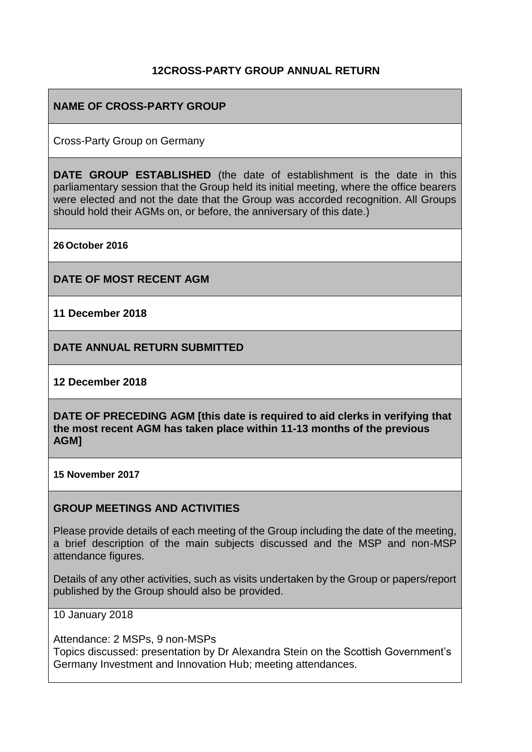## **12CROSS-PARTY GROUP ANNUAL RETURN**

## **NAME OF CROSS-PARTY GROUP**

Cross-Party Group on Germany

**DATE GROUP ESTABLISHED** (the date of establishment is the date in this parliamentary session that the Group held its initial meeting, where the office bearers were elected and not the date that the Group was accorded recognition. All Groups should hold their AGMs on, or before, the anniversary of this date.)

**26October 2016**

**DATE OF MOST RECENT AGM**

**11 December 2018**

**DATE ANNUAL RETURN SUBMITTED**

**12 December 2018**

**DATE OF PRECEDING AGM [this date is required to aid clerks in verifying that the most recent AGM has taken place within 11-13 months of the previous AGM]**

**15 November 2017**

#### **GROUP MEETINGS AND ACTIVITIES**

Please provide details of each meeting of the Group including the date of the meeting, a brief description of the main subjects discussed and the MSP and non-MSP attendance figures.

Details of any other activities, such as visits undertaken by the Group or papers/report published by the Group should also be provided.

10 January 2018

Attendance: 2 MSPs, 9 non-MSPs Topics discussed: presentation by Dr Alexandra Stein on the Scottish Government's Germany Investment and Innovation Hub; meeting attendances.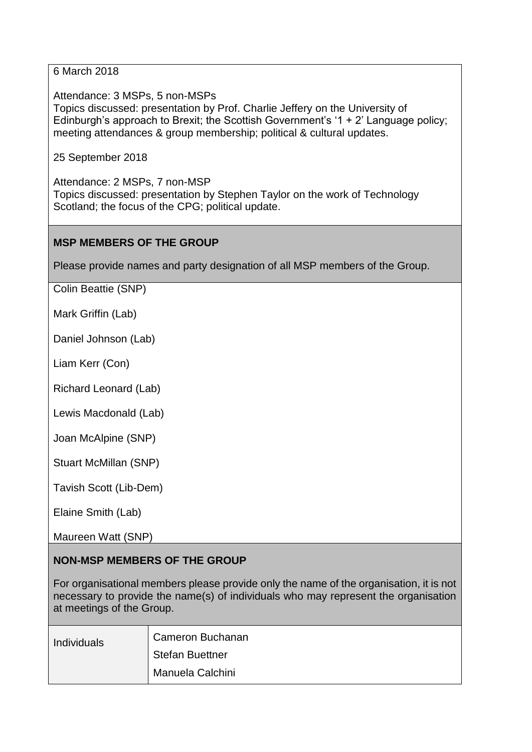6 March 2018

Attendance: 3 MSPs, 5 non-MSPs Topics discussed: presentation by Prof. Charlie Jeffery on the University of Edinburgh's approach to Brexit; the Scottish Government's '1 + 2' Language policy; meeting attendances & group membership; political & cultural updates.

25 September 2018

Attendance: 2 MSPs, 7 non-MSP Topics discussed: presentation by Stephen Taylor on the work of Technology Scotland; the focus of the CPG; political update.

## **MSP MEMBERS OF THE GROUP**

Please provide names and party designation of all MSP members of the Group.

Colin Beattie (SNP)

Mark Griffin (Lab)

Daniel Johnson (Lab)

Liam Kerr (Con)

Richard Leonard (Lab)

Lewis Macdonald (Lab)

Joan McAlpine (SNP)

Stuart McMillan (SNP)

Tavish Scott (Lib-Dem)

Elaine Smith (Lab)

Maureen Watt (SNP)

# **NON-MSP MEMBERS OF THE GROUP**

For organisational members please provide only the name of the organisation, it is not necessary to provide the name(s) of individuals who may represent the organisation at meetings of the Group.

| Individuals | <b>Cameron Buchanan</b> |
|-------------|-------------------------|
|             | <b>Stefan Buettner</b>  |
|             | Manuela Calchini        |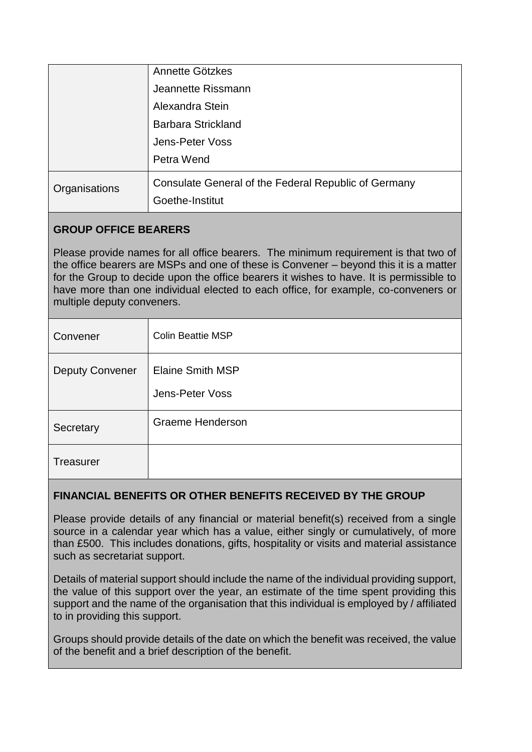|               | Annette Götzkes                                                         |
|---------------|-------------------------------------------------------------------------|
|               | Jeannette Rissmann                                                      |
|               | Alexandra Stein                                                         |
|               | <b>Barbara Strickland</b>                                               |
|               | Jens-Peter Voss                                                         |
|               | Petra Wend                                                              |
| Organisations | Consulate General of the Federal Republic of Germany<br>Goethe-Institut |

# **GROUP OFFICE BEARERS**

Please provide names for all office bearers. The minimum requirement is that two of the office bearers are MSPs and one of these is Convener – beyond this it is a matter for the Group to decide upon the office bearers it wishes to have. It is permissible to have more than one individual elected to each office, for example, co-conveners or multiple deputy conveners.

| Convener               | <b>Colin Beattie MSP</b>                   |
|------------------------|--------------------------------------------|
| <b>Deputy Convener</b> | <b>Elaine Smith MSP</b><br>Jens-Peter Voss |
| Secretary              | Graeme Henderson                           |
| <b>Treasurer</b>       |                                            |

## **FINANCIAL BENEFITS OR OTHER BENEFITS RECEIVED BY THE GROUP**

Please provide details of any financial or material benefit(s) received from a single source in a calendar year which has a value, either singly or cumulatively, of more than £500. This includes donations, gifts, hospitality or visits and material assistance such as secretariat support.

Details of material support should include the name of the individual providing support, the value of this support over the year, an estimate of the time spent providing this support and the name of the organisation that this individual is employed by / affiliated to in providing this support.

Groups should provide details of the date on which the benefit was received, the value of the benefit and a brief description of the benefit.